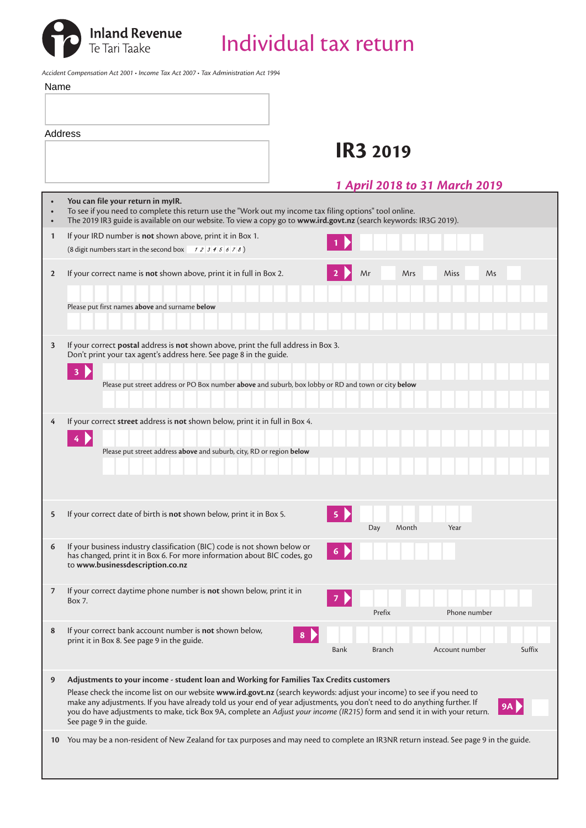

Inland Revenue<br>Te Tari Taake **Individual tax return** 

*Accident Compensation Act 2001 • Income Tax Act 2007 • Tax Administration Act 1994*

| Name                    |                                                                                                                                                                                                                                                                    |
|-------------------------|--------------------------------------------------------------------------------------------------------------------------------------------------------------------------------------------------------------------------------------------------------------------|
|                         |                                                                                                                                                                                                                                                                    |
| <b>Address</b>          |                                                                                                                                                                                                                                                                    |
|                         | <b>IR3 2019</b>                                                                                                                                                                                                                                                    |
|                         |                                                                                                                                                                                                                                                                    |
|                         |                                                                                                                                                                                                                                                                    |
|                         | <b>1 April 2018 to 31 March 2019</b>                                                                                                                                                                                                                               |
|                         | You can file your return in myIR.<br>To see if you need to complete this return use the "Work out my income tax filing options" tool online.<br>The 2019 IR3 guide is available on our website. To view a copy go to www.ird.govt.nz (search keywords: IR3G 2019). |
| $\mathbf{1}$            | If your IRD number is not shown above, print it in Box 1.<br>(8 digit numbers start in the second box $\begin{array}{c} 1234567 \\ 234567 \end{array}$ )                                                                                                           |
|                         |                                                                                                                                                                                                                                                                    |
| $\overline{2}$          | If your correct name is not shown above, print it in full in Box 2.<br>Mr<br>Miss<br>Ms<br>Mrs                                                                                                                                                                     |
|                         |                                                                                                                                                                                                                                                                    |
|                         | Please put first names above and surname below                                                                                                                                                                                                                     |
|                         |                                                                                                                                                                                                                                                                    |
| $\overline{\mathbf{3}}$ | If your correct postal address is not shown above, print the full address in Box 3.<br>Don't print your tax agent's address here. See page 8 in the guide.                                                                                                         |
|                         | 3                                                                                                                                                                                                                                                                  |
|                         | Please put street address or PO Box number above and suburb, box lobby or RD and town or city below                                                                                                                                                                |
|                         |                                                                                                                                                                                                                                                                    |
| 4                       | If your correct street address is not shown below, print it in full in Box 4.                                                                                                                                                                                      |
|                         | 4                                                                                                                                                                                                                                                                  |
|                         | Please put street address above and suburb, city, RD or region below                                                                                                                                                                                               |
|                         |                                                                                                                                                                                                                                                                    |
|                         |                                                                                                                                                                                                                                                                    |
|                         |                                                                                                                                                                                                                                                                    |
| 5                       | If your correct date of birth is not shown below, print it in Box 5.<br>5                                                                                                                                                                                          |
|                         | Year<br>Day<br>Month                                                                                                                                                                                                                                               |
| 6                       | If your business industry classification (BIC) code is not shown below or<br>has changed, print it in Box 6. For more information about BIC codes, go                                                                                                              |
|                         | to www.businessdescription.co.nz                                                                                                                                                                                                                                   |
|                         |                                                                                                                                                                                                                                                                    |
| 7                       | If your correct daytime phone number is not shown below, print it in<br>Box 7.                                                                                                                                                                                     |
|                         | Prefix<br>Phone number                                                                                                                                                                                                                                             |
| 8                       | If your correct bank account number is not shown below,<br>8                                                                                                                                                                                                       |
|                         | print it in Box 8. See page 9 in the guide.<br><b>Bank</b><br><b>Branch</b><br>Account number<br>Suffix                                                                                                                                                            |
|                         |                                                                                                                                                                                                                                                                    |
| 9                       | Adjustments to your income - student loan and Working for Families Tax Credits customers                                                                                                                                                                           |
|                         | Please check the income list on our website www.ird.govt.nz (search keywords: adjust your income) to see if you need to<br>make any adjustments. If you have already told us your end of year adjustments, you don't need to do anything further. If               |
|                         | 9A<br>you do have adjustments to make, tick Box 9A, complete an Adjust your income (IR215) form and send it in with your return.                                                                                                                                   |
|                         | See page 9 in the guide.                                                                                                                                                                                                                                           |
| 10                      | You may be a non-resident of New Zealand for tax purposes and may need to complete an IR3NR return instead. See page 9 in the guide.                                                                                                                               |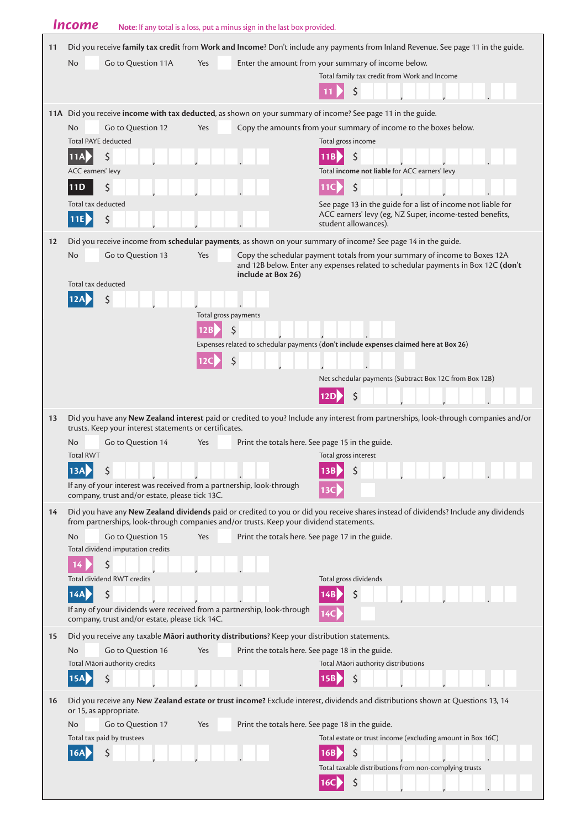|    | <b>Income</b>                                                                                                           | Note: If any total is a loss, put a minus sign in the last box provided. |                                                                                                                                                                 |
|----|-------------------------------------------------------------------------------------------------------------------------|--------------------------------------------------------------------------|-----------------------------------------------------------------------------------------------------------------------------------------------------------------|
| 11 |                                                                                                                         |                                                                          | Did you receive family tax credit from Work and Income? Don't include any payments from Inland Revenue. See page 11 in the guide.                               |
|    | Go to Question 11A<br>N <sub>o</sub>                                                                                    | Yes                                                                      | Enter the amount from your summary of income below.                                                                                                             |
|    |                                                                                                                         |                                                                          | Total family tax credit from Work and Income                                                                                                                    |
|    |                                                                                                                         |                                                                          | \$                                                                                                                                                              |
|    |                                                                                                                         |                                                                          | 11A Did you receive income with tax deducted, as shown on your summary of income? See page 11 in the guide.                                                     |
|    | Go to Question 12<br>N <sub>o</sub>                                                                                     | Yes                                                                      | Copy the amounts from your summary of income to the boxes below.                                                                                                |
|    | <b>Total PAYE deducted</b>                                                                                              |                                                                          | Total gross income                                                                                                                                              |
|    | \$<br>11A                                                                                                               |                                                                          | 11B<br>Ś                                                                                                                                                        |
|    | ACC earners' levy                                                                                                       |                                                                          | Total income not liable for ACC earners' levy                                                                                                                   |
|    | \$<br>11D                                                                                                               |                                                                          | \$                                                                                                                                                              |
|    | Total tax deducted                                                                                                      |                                                                          | See page 13 in the guide for a list of income not liable for                                                                                                    |
|    | \$<br>11E                                                                                                               |                                                                          | ACC earners' levy (eg, NZ Super, income-tested benefits,<br>student allowances).                                                                                |
| 12 |                                                                                                                         |                                                                          | Did you receive income from schedular payments, as shown on your summary of income? See page 14 in the guide.                                                   |
|    | Go to Question 13<br>No                                                                                                 | Yes<br>include at Box 26)                                                | Copy the schedular payment totals from your summary of income to Boxes 12A<br>and 12B below. Enter any expenses related to schedular payments in Box 12C (don't |
|    | Total tax deducted                                                                                                      |                                                                          |                                                                                                                                                                 |
|    | 12A                                                                                                                     |                                                                          |                                                                                                                                                                 |
|    |                                                                                                                         | Total gross payments                                                     |                                                                                                                                                                 |
|    |                                                                                                                         | \$<br>12B                                                                | Expenses related to schedular payments (don't include expenses claimed here at Box 26)                                                                          |
|    |                                                                                                                         | \$                                                                       |                                                                                                                                                                 |
|    |                                                                                                                         |                                                                          | Net schedular payments (Subtract Box 12C from Box 12B)                                                                                                          |
|    |                                                                                                                         |                                                                          |                                                                                                                                                                 |
|    |                                                                                                                         |                                                                          | \$<br><b>12D</b>                                                                                                                                                |
| 13 | trusts. Keep your interest statements or certificates.                                                                  |                                                                          | Did you have any New Zealand interest paid or credited to you? Include any interest from partnerships, look-through companies and/or                            |
|    | No<br>Go to Question 14                                                                                                 | Yes                                                                      | Print the totals here. See page 15 in the guide.                                                                                                                |
|    | <b>Total RWT</b>                                                                                                        |                                                                          | Total gross interest                                                                                                                                            |
|    | 13A                                                                                                                     |                                                                          |                                                                                                                                                                 |
|    | If any of your interest was received from a partnership, look-through<br>company, trust and/or estate, please tick 13C. |                                                                          |                                                                                                                                                                 |
| 14 |                                                                                                                         |                                                                          | Did you have any New Zealand dividends paid or credited to you or did you receive shares instead of dividends? Include any dividends                            |
|    | from partnerships, look-through companies and/or trusts. Keep your dividend statements.                                 |                                                                          |                                                                                                                                                                 |
|    | <b>No</b><br>Go to Question 15                                                                                          | Yes                                                                      | Print the totals here. See page 17 in the guide.                                                                                                                |
|    | Total dividend imputation credits<br>Ś                                                                                  |                                                                          |                                                                                                                                                                 |
|    | Total dividend RWT credits                                                                                              |                                                                          | Total gross dividends                                                                                                                                           |
|    | \$<br>14A                                                                                                               |                                                                          |                                                                                                                                                                 |
|    | If any of your dividends were received from a partnership, look-through                                                 |                                                                          |                                                                                                                                                                 |
|    | company, trust and/or estate, please tick 14C.                                                                          |                                                                          |                                                                                                                                                                 |
| 15 | Did you receive any taxable Maori authority distributions? Keep your distribution statements.                           |                                                                          |                                                                                                                                                                 |
|    | Go to Question 16<br>N <sub>o</sub>                                                                                     | Yes                                                                      | Print the totals here. See page 18 in the guide.                                                                                                                |
|    | Total Māori authority credits<br>\$<br>15A                                                                              |                                                                          | Total Māori authority distributions<br>\$                                                                                                                       |
|    |                                                                                                                         |                                                                          |                                                                                                                                                                 |
| 16 | or 15, as appropriate.                                                                                                  |                                                                          | Did you receive any New Zealand estate or trust income? Exclude interest, dividends and distributions shown at Questions 13, 14                                 |
|    | <b>No</b><br>Go to Question 17<br>Total tax paid by trustees                                                            | Yes                                                                      | Print the totals here. See page 18 in the guide.<br>Total estate or trust income (excluding amount in Box 16C)                                                  |
|    |                                                                                                                         |                                                                          | 16B                                                                                                                                                             |
|    |                                                                                                                         |                                                                          | Total taxable distributions from non-complying trusts                                                                                                           |
|    |                                                                                                                         |                                                                          | \$<br>16C                                                                                                                                                       |
|    |                                                                                                                         |                                                                          |                                                                                                                                                                 |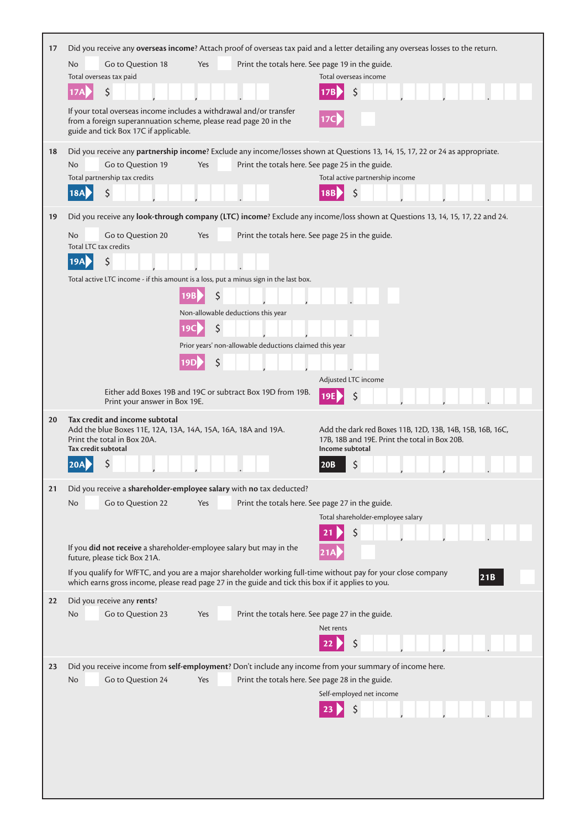| 17 |                                                                                                                                                                                  |                                                            | Did you receive any overseas income? Attach proof of overseas tax paid and a letter detailing any overseas losses to the return.                                                                                            |
|----|----------------------------------------------------------------------------------------------------------------------------------------------------------------------------------|------------------------------------------------------------|-----------------------------------------------------------------------------------------------------------------------------------------------------------------------------------------------------------------------------|
|    | No<br>Go to Question 18                                                                                                                                                          | Yes<br>Print the totals here. See page 19 in the guide.    |                                                                                                                                                                                                                             |
|    | Total overseas tax paid                                                                                                                                                          |                                                            | Total overseas income                                                                                                                                                                                                       |
|    | \$                                                                                                                                                                               |                                                            | \$                                                                                                                                                                                                                          |
|    | If your total overseas income includes a withdrawal and/or transfer<br>from a foreign superannuation scheme, please read page 20 in the<br>guide and tick Box 17C if applicable. |                                                            |                                                                                                                                                                                                                             |
| 18 |                                                                                                                                                                                  |                                                            | Did you receive any partnership income? Exclude any income/losses shown at Questions 13, 14, 15, 17, 22 or 24 as appropriate.                                                                                               |
|    | Go to Question 19<br>No                                                                                                                                                          | Yes                                                        | Print the totals here. See page 25 in the guide.                                                                                                                                                                            |
|    | Total partnership tax credits<br>\$                                                                                                                                              |                                                            | Total active partnership income                                                                                                                                                                                             |
|    | <b>18A</b>                                                                                                                                                                       |                                                            | \$                                                                                                                                                                                                                          |
| 19 |                                                                                                                                                                                  |                                                            | Did you receive any look-through company (LTC) income? Exclude any income/loss shown at Questions 13, 14, 15, 17, 22 and 24.                                                                                                |
|    | No<br>Go to Question 20<br>Total LTC tax credits                                                                                                                                 | Yes                                                        | Print the totals here. See page 25 in the guide.                                                                                                                                                                            |
|    | \$<br><b>19A</b>                                                                                                                                                                 |                                                            |                                                                                                                                                                                                                             |
|    | Total active LTC income - if this amount is a loss, put a minus sign in the last box.                                                                                            |                                                            |                                                                                                                                                                                                                             |
|    |                                                                                                                                                                                  | \$                                                         |                                                                                                                                                                                                                             |
|    |                                                                                                                                                                                  | Non-allowable deductions this year                         |                                                                                                                                                                                                                             |
|    |                                                                                                                                                                                  | \$<br>19C                                                  |                                                                                                                                                                                                                             |
|    |                                                                                                                                                                                  | Prior years' non-allowable deductions claimed this year    |                                                                                                                                                                                                                             |
|    |                                                                                                                                                                                  | \$                                                         |                                                                                                                                                                                                                             |
|    |                                                                                                                                                                                  | Either add Boxes 19B and 19C or subtract Box 19D from 19B. | Adjusted LTC income                                                                                                                                                                                                         |
|    | Print your answer in Box 19E.                                                                                                                                                    |                                                            | \$                                                                                                                                                                                                                          |
| 20 | Tax credit and income subtotal<br>Add the blue Boxes 11E, 12A, 13A, 14A, 15A, 16A, 18A and 19A.<br>Print the total in Box 20A.<br>Tax credit subtotal                            |                                                            | Add the dark red Boxes 11B, 12D, 13B, 14B, 15B, 16B, 16C,<br>17B, 18B and 19E. Print the total in Box 20B.<br>Income subtotal                                                                                               |
|    | \$<br>20A                                                                                                                                                                        |                                                            | \$<br> 20B                                                                                                                                                                                                                  |
| 21 | Did you receive a shareholder-employee salary with no tax deducted?                                                                                                              |                                                            |                                                                                                                                                                                                                             |
|    | No<br>Go to Question 22                                                                                                                                                          | Yes                                                        | Print the totals here. See page 27 in the guide.                                                                                                                                                                            |
|    |                                                                                                                                                                                  |                                                            | Total shareholder-employee salary                                                                                                                                                                                           |
|    |                                                                                                                                                                                  |                                                            | \$                                                                                                                                                                                                                          |
|    | If you did not receive a shareholder-employee salary but may in the<br>future, please tick Box 21A.                                                                              |                                                            |                                                                                                                                                                                                                             |
|    |                                                                                                                                                                                  |                                                            | If you qualify for WfFTC, and you are a major shareholder working full-time without pay for your close company<br>21B<br>which earns gross income, please read page 27 in the guide and tick this box if it applies to you. |
| 22 | Did you receive any rents?                                                                                                                                                       |                                                            |                                                                                                                                                                                                                             |
|    | Go to Question 23<br>No                                                                                                                                                          | Yes                                                        | Print the totals here. See page 27 in the guide.                                                                                                                                                                            |
|    |                                                                                                                                                                                  |                                                            | Net rents                                                                                                                                                                                                                   |
|    |                                                                                                                                                                                  |                                                            |                                                                                                                                                                                                                             |
| 23 |                                                                                                                                                                                  |                                                            | Did you receive income from self-employment? Don't include any income from your summary of income here.                                                                                                                     |
|    | Go to Question 24<br>No                                                                                                                                                          | Yes                                                        | Print the totals here. See page 28 in the guide.                                                                                                                                                                            |
|    |                                                                                                                                                                                  |                                                            | Self-employed net income                                                                                                                                                                                                    |
|    |                                                                                                                                                                                  |                                                            | \$                                                                                                                                                                                                                          |
|    |                                                                                                                                                                                  |                                                            |                                                                                                                                                                                                                             |
|    |                                                                                                                                                                                  |                                                            |                                                                                                                                                                                                                             |
|    |                                                                                                                                                                                  |                                                            |                                                                                                                                                                                                                             |
|    |                                                                                                                                                                                  |                                                            |                                                                                                                                                                                                                             |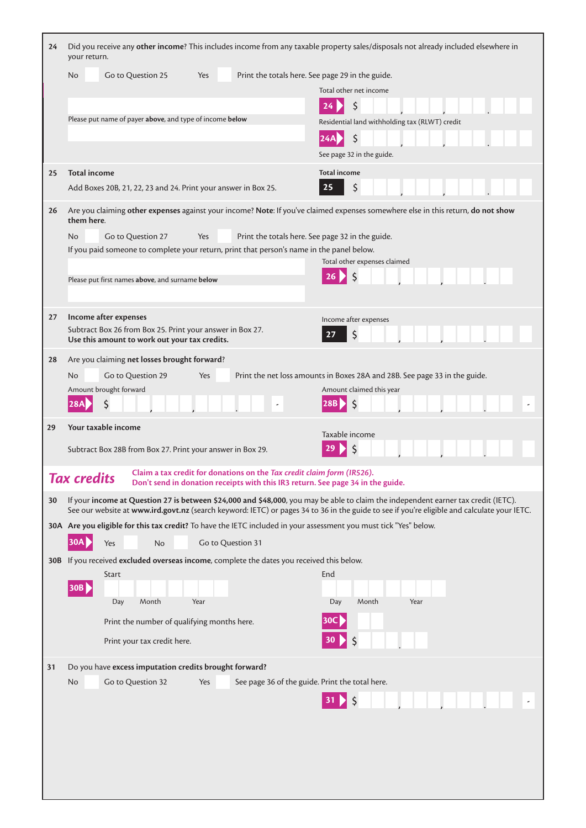| 24 | Did you receive any other income? This includes income from any taxable property sales/disposals not already included elsewhere in<br>your return.                                                                                                                                |                                                                                                        |
|----|-----------------------------------------------------------------------------------------------------------------------------------------------------------------------------------------------------------------------------------------------------------------------------------|--------------------------------------------------------------------------------------------------------|
|    | Go to Question 25<br>No<br>Yes                                                                                                                                                                                                                                                    | Print the totals here. See page 29 in the guide.<br>Total other net income                             |
|    |                                                                                                                                                                                                                                                                                   | Ś<br>24                                                                                                |
|    | Please put name of payer above, and type of income below                                                                                                                                                                                                                          | Residential land withholding tax (RLWT) credit                                                         |
|    |                                                                                                                                                                                                                                                                                   | $\zeta$<br>24A                                                                                         |
|    |                                                                                                                                                                                                                                                                                   | See page 32 in the guide.                                                                              |
| 25 | <b>Total income</b>                                                                                                                                                                                                                                                               | <b>Total income</b>                                                                                    |
|    | Add Boxes 20B, 21, 22, 23 and 24. Print your answer in Box 25.                                                                                                                                                                                                                    | \$<br>25                                                                                               |
| 26 | Are you claiming other expenses against your income? Note: If you've claimed expenses somewhere else in this return, do not show<br>them here.                                                                                                                                    |                                                                                                        |
|    | Go to Question 27<br>No<br>Yes                                                                                                                                                                                                                                                    | Print the totals here. See page 32 in the guide.                                                       |
|    | If you paid someone to complete your return, print that person's name in the panel below.                                                                                                                                                                                         | Total other expenses claimed                                                                           |
|    | Please put first names above, and surname below                                                                                                                                                                                                                                   |                                                                                                        |
|    |                                                                                                                                                                                                                                                                                   |                                                                                                        |
| 27 | Income after expenses                                                                                                                                                                                                                                                             | Income after expenses                                                                                  |
|    | Subtract Box 26 from Box 25. Print your answer in Box 27.                                                                                                                                                                                                                         | \$<br>27                                                                                               |
|    | Use this amount to work out your tax credits.                                                                                                                                                                                                                                     |                                                                                                        |
| 28 | Are you claiming net losses brought forward?                                                                                                                                                                                                                                      |                                                                                                        |
|    | Go to Question 29<br>N <sub>o</sub><br>Yes<br>Amount brought forward                                                                                                                                                                                                              | Print the net loss amounts in Boxes 28A and 28B. See page 33 in the guide.<br>Amount claimed this year |
|    |                                                                                                                                                                                                                                                                                   | <sup>S</sup>                                                                                           |
|    |                                                                                                                                                                                                                                                                                   |                                                                                                        |
| 29 | Your taxable income                                                                                                                                                                                                                                                               |                                                                                                        |
|    | Subtract Box 28B from Box 27. Print your answer in Box 29.                                                                                                                                                                                                                        | Taxable income                                                                                         |
|    |                                                                                                                                                                                                                                                                                   |                                                                                                        |
|    | Claim a tax credit for donations on the Tax credit claim form (IR526).<br><b>Tax credits</b><br>Don't send in donation receipts with this IR3 return. See page 34 in the guide.                                                                                                   |                                                                                                        |
| 30 | If your income at Question 27 is between \$24,000 and \$48,000, you may be able to claim the independent earner tax credit (IETC).<br>See our website at www.ird.govt.nz (search keyword: IETC) or pages 34 to 36 in the guide to see if you're eligible and calculate your IETC. |                                                                                                        |
|    | 30A Are you eligible for this tax credit? To have the IETC included in your assessment you must tick "Yes" below.                                                                                                                                                                 |                                                                                                        |
|    | 30A I<br>No<br>Go to Question 31<br>Yes                                                                                                                                                                                                                                           |                                                                                                        |
|    | 30B If you received excluded overseas income, complete the dates you received this below.                                                                                                                                                                                         |                                                                                                        |
|    | Start<br> 30B                                                                                                                                                                                                                                                                     | End                                                                                                    |
|    | Month<br>Day<br>Year                                                                                                                                                                                                                                                              | Month<br>Year<br>Day                                                                                   |
|    | Print the number of qualifying months here.                                                                                                                                                                                                                                       | 30C                                                                                                    |
|    | Print your tax credit here.                                                                                                                                                                                                                                                       | $\zeta$<br>30                                                                                          |
| 31 | Do you have excess imputation credits brought forward?                                                                                                                                                                                                                            |                                                                                                        |
|    | Go to Question 32<br>No.<br>Yes                                                                                                                                                                                                                                                   | See page 36 of the guide. Print the total here.                                                        |
|    |                                                                                                                                                                                                                                                                                   | Ś                                                                                                      |
|    |                                                                                                                                                                                                                                                                                   |                                                                                                        |
|    |                                                                                                                                                                                                                                                                                   |                                                                                                        |
|    |                                                                                                                                                                                                                                                                                   |                                                                                                        |
|    |                                                                                                                                                                                                                                                                                   |                                                                                                        |

 $\mathsf{l}$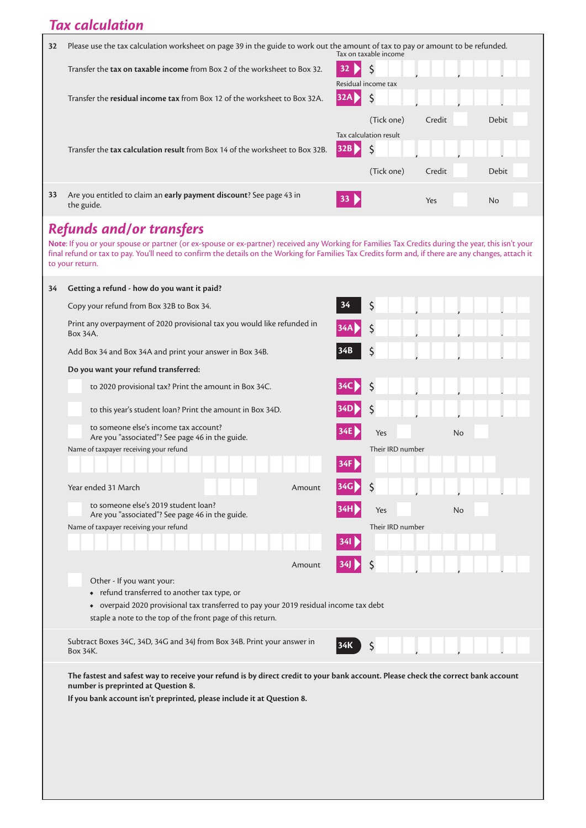## *Tax calculation*

| 32 | Please use the tax calculation worksheet on page 39 in the guide to work out the amount of tax to pay or amount to be refunded.<br>Tax on taxable income |  |                        |        |              |
|----|----------------------------------------------------------------------------------------------------------------------------------------------------------|--|------------------------|--------|--------------|
|    | Transfer the tax on taxable income from Box 2 of the worksheet to Box 32.                                                                                |  |                        |        |              |
|    |                                                                                                                                                          |  | Residual income tax    |        |              |
|    | Transfer the residual income tax from Box 12 of the worksheet to Box 32A.                                                                                |  |                        |        |              |
|    |                                                                                                                                                          |  | (Tick one)             | Credit | <b>Debit</b> |
|    |                                                                                                                                                          |  |                        |        |              |
|    |                                                                                                                                                          |  | Tax calculation result |        |              |
|    | Transfer the <b>tax calculation result</b> from Box 14 of the worksheet to Box 32B.                                                                      |  |                        |        |              |
|    |                                                                                                                                                          |  | (Tick one)             | Credit | <b>Debit</b> |

## *Refunds and/or transfers*

**Note**: If you or your spouse or partner (or ex-spouse or ex-partner) received any Working for Families Tax Credits during the year, this isn't your final refund or tax to pay. You'll need to confirm the details on the Working for Families Tax Credits form and, if there are any changes, attach it to your return.

| 34 | Getting a refund - how do you want it paid?                                                                                                                              |     |                  |    |
|----|--------------------------------------------------------------------------------------------------------------------------------------------------------------------------|-----|------------------|----|
|    | Copy your refund from Box 32B to Box 34.                                                                                                                                 | 34  | \$               |    |
|    | Print any overpayment of 2020 provisional tax you would like refunded in<br>Box 34A.                                                                                     | 34A | \$               |    |
|    | Add Box 34 and Box 34A and print your answer in Box 34B.                                                                                                                 | 34B | \$               |    |
|    | Do you want your refund transferred:                                                                                                                                     |     |                  |    |
|    | to 2020 provisional tax? Print the amount in Box 34C.                                                                                                                    | 34C | \$               |    |
|    | to this year's student loan? Print the amount in Box 34D.                                                                                                                |     | \$               |    |
|    | to someone else's income tax account?<br>Are you "associated"? See page 46 in the guide.                                                                                 | 34E | Yes              | No |
|    | Name of taxpayer receiving your refund                                                                                                                                   |     | Their IRD number |    |
|    |                                                                                                                                                                          | 34F |                  |    |
|    | Year ended 31 March<br>Amount                                                                                                                                            | 34G | \$               |    |
|    | to someone else's 2019 student loan?<br>Are you "associated"? See page 46 in the guide.                                                                                  |     | Yes              | No |
|    | Name of taxpayer receiving your refund                                                                                                                                   |     | Their IRD number |    |
|    |                                                                                                                                                                          | 34I |                  |    |
|    | Amount                                                                                                                                                                   | 34] | \$               |    |
|    | Other - If you want your:                                                                                                                                                |     |                  |    |
|    | • refund transferred to another tax type, or                                                                                                                             |     |                  |    |
|    | • overpaid 2020 provisional tax transferred to pay your 2019 residual income tax debt                                                                                    |     |                  |    |
|    | staple a note to the top of the front page of this return.                                                                                                               |     |                  |    |
|    | Subtract Boxes 34C, 34D, 34G and 34J from Box 34B. Print your answer in<br>Box 34K.                                                                                      |     | Ś                |    |
|    | The fastest and safest way to receive your refund is by direct credit to your bank account. Please check the correct bank account<br>number is preprinted at Question 8. |     |                  |    |
|    | If you bank account isn't preprinted, please include it at Question 8.                                                                                                   |     |                  |    |